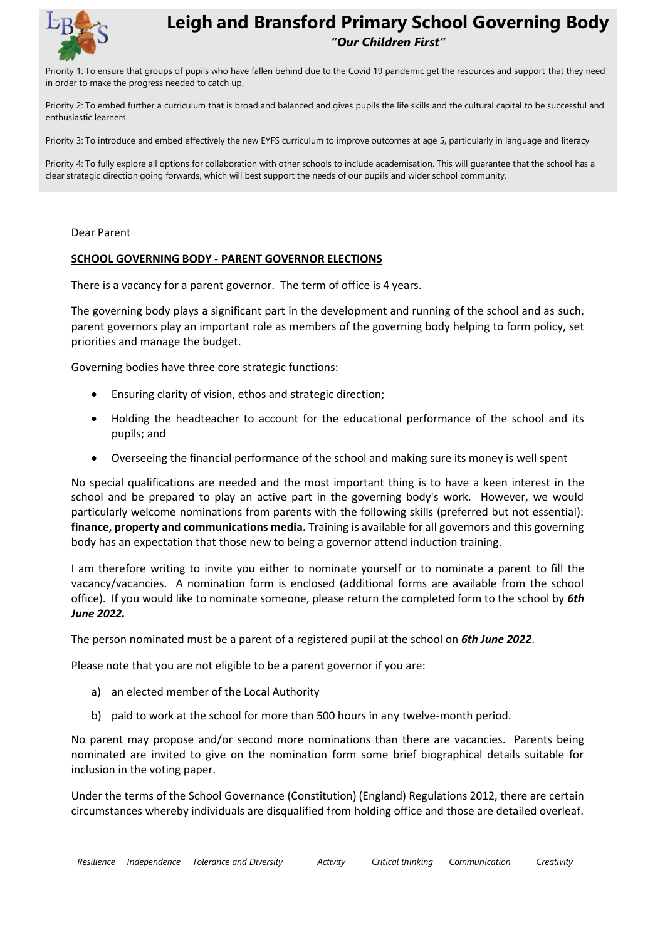

Priority 1: To ensure that groups of pupils who have fallen behind due to the Covid 19 pandemic get the resources and support that they need in order to make the progress needed to catch up.

Priority 2: To embed further a curriculum that is broad and balanced and gives pupils the life skills and the cultural capital to be successful and enthusiastic learners.

Priority 3: To introduce and embed effectively the new EYFS curriculum to improve outcomes at age 5, particularly in language and literacy

Priority 4: To fully explore all options for collaboration with other schools to include academisation. This will guarantee that the school has a clear strategic direction going forwards, which will best support the needs of our pupils and wider school community.

#### Dear Parent

#### **SCHOOL GOVERNING BODY - PARENT GOVERNOR ELECTIONS**

There is a vacancy for a parent governor. The term of office is 4 years.

The governing body plays a significant part in the development and running of the school and as such, parent governors play an important role as members of the governing body helping to form policy, set priorities and manage the budget.

Governing bodies have three core strategic functions:

- Ensuring clarity of vision, ethos and strategic direction;
- Holding the headteacher to account for the educational performance of the school and its pupils; and
- Overseeing the financial performance of the school and making sure its money is well spent

No special qualifications are needed and the most important thing is to have a keen interest in the school and be prepared to play an active part in the governing body's work. However, we would particularly welcome nominations from parents with the following skills (preferred but not essential): **finance, property and communications media.** Training is available for all governors and this governing body has an expectation that those new to being a governor attend induction training.

I am therefore writing to invite you either to nominate yourself or to nominate a parent to fill the vacancy/vacancies. A nomination form is enclosed (additional forms are available from the school office). If you would like to nominate someone, please return the completed form to the school by *6th June 2022.*

The person nominated must be a parent of a registered pupil at the school on *6th June 2022*.

Please note that you are not eligible to be a parent governor if you are:

- a) an elected member of the Local Authority
- b) paid to work at the school for more than 500 hours in any twelve-month period.

No parent may propose and/or second more nominations than there are vacancies. Parents being nominated are invited to give on the nomination form some brief biographical details suitable for inclusion in the voting paper.

Under the terms of the School Governance (Constitution) (England) Regulations 2012, there are certain circumstances whereby individuals are disqualified from holding office and those are detailed overleaf.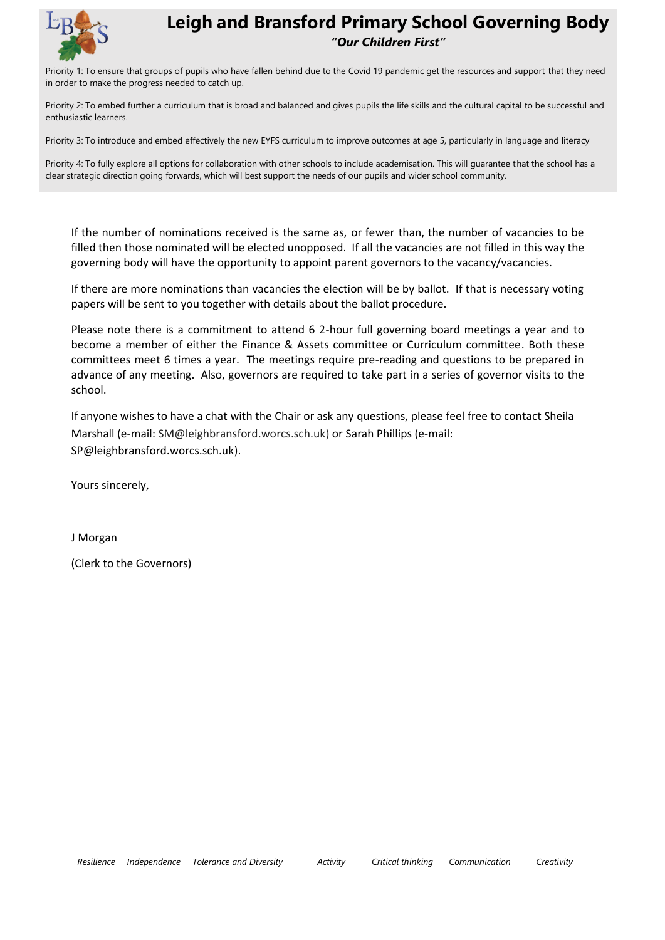

Priority 1: To ensure that groups of pupils who have fallen behind due to the Covid 19 pandemic get the resources and support that they need in order to make the progress needed to catch up.

Priority 2: To embed further a curriculum that is broad and balanced and gives pupils the life skills and the cultural capital to be successful and enthusiastic learners.

Priority 3: To introduce and embed effectively the new EYFS curriculum to improve outcomes at age 5, particularly in language and literacy

Priority 4: To fully explore all options for collaboration with other schools to include academisation. This will guarantee that the school has a clear strategic direction going forwards, which will best support the needs of our pupils and wider school community.

If the number of nominations received is the same as, or fewer than, the number of vacancies to be filled then those nominated will be elected unopposed. If all the vacancies are not filled in this way the governing body will have the opportunity to appoint parent governors to the vacancy/vacancies.

If there are more nominations than vacancies the election will be by ballot. If that is necessary voting papers will be sent to you together with details about the ballot procedure.

Please note there is a commitment to attend 6 2-hour full governing board meetings a year and to become a member of either the Finance & Assets committee or Curriculum committee. Both these committees meet 6 times a year. The meetings require pre-reading and questions to be prepared in advance of any meeting. Also, governors are required to take part in a series of governor visits to the school.

If anyone wishes to have a chat with the Chair or ask any questions, please feel free to contact Sheila Marshall (e-mail: SM@leighbransford.worcs.sch.uk) or Sarah Phillips (e-mail: SP@leighbransford.worcs.sch.uk).

Yours sincerely,

J Morgan

(Clerk to the Governors)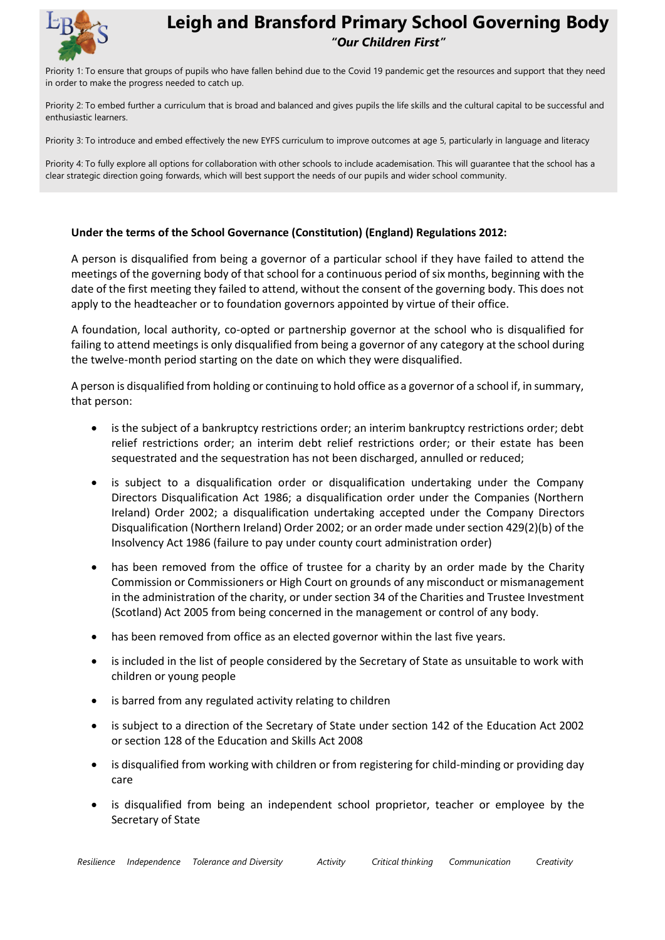

Priority 1: To ensure that groups of pupils who have fallen behind due to the Covid 19 pandemic get the resources and support that they need in order to make the progress needed to catch up.

Priority 2: To embed further a curriculum that is broad and balanced and gives pupils the life skills and the cultural capital to be successful and enthusiastic learners.

Priority 3: To introduce and embed effectively the new EYFS curriculum to improve outcomes at age 5, particularly in language and literacy

Priority 4: To fully explore all options for collaboration with other schools to include academisation. This will guarantee that the school has a clear strategic direction going forwards, which will best support the needs of our pupils and wider school community.

### **Under the terms of the School Governance (Constitution) (England) Regulations 2012:**

A person is disqualified from being a governor of a particular school if they have failed to attend the meetings of the governing body of that school for a continuous period of six months, beginning with the date of the first meeting they failed to attend, without the consent of the governing body. This does not apply to the headteacher or to foundation governors appointed by virtue of their office.

A foundation, local authority, co-opted or partnership governor at the school who is disqualified for failing to attend meetings is only disqualified from being a governor of any category at the school during the twelve-month period starting on the date on which they were disqualified.

A person is disqualified from holding or continuing to hold office as a governor of a school if, in summary, that person:

- is the subject of a bankruptcy restrictions order; an interim bankruptcy restrictions order; debt relief restrictions order; an interim debt relief restrictions order; or their estate has been sequestrated and the sequestration has not been discharged, annulled or reduced;
- is subject to a disqualification order or disqualification undertaking under the Company Directors Disqualification Act 1986; a disqualification order under the Companies (Northern Ireland) Order 2002; a disqualification undertaking accepted under the Company Directors Disqualification (Northern Ireland) Order 2002; or an order made under section 429(2)(b) of the Insolvency Act 1986 (failure to pay under county court administration order)
- has been removed from the office of trustee for a charity by an order made by the Charity Commission or Commissioners or High Court on grounds of any misconduct or mismanagement in the administration of the charity, or under section 34 of the Charities and Trustee Investment (Scotland) Act 2005 from being concerned in the management or control of any body.
- has been removed from office as an elected governor within the last five years.
- is included in the list of people considered by the Secretary of State as unsuitable to work with children or young people
- is barred from any regulated activity relating to children
- is subject to a direction of the Secretary of State under section 142 of the Education Act 2002 or section 128 of the Education and Skills Act 2008
- is disqualified from working with children or from registering for child-minding or providing day care
- is disqualified from being an independent school proprietor, teacher or employee by the Secretary of State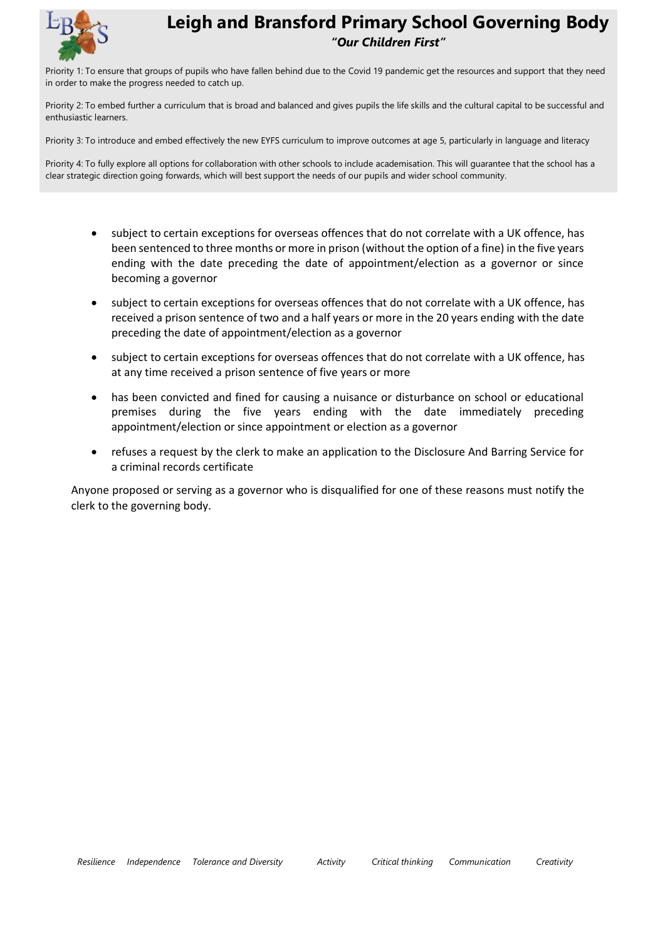

Priority 1: To ensure that groups of pupils who have fallen behind due to the Covid 19 pandemic get the resources and support that they need in order to make the progress needed to catch up.

Priority 2: To embed further a curriculum that is broad and balanced and gives pupils the life skills and the cultural capital to be successful and enthusiastic learners.

Priority 3: To introduce and embed effectively the new EYFS curriculum to improve outcomes at age 5, particularly in language and literacy

Priority 4: To fully explore all options for collaboration with other schools to include academisation. This will guarantee that the school has a clear strategic direction going forwards, which will best support the needs of our pupils and wider school community.

- subject to certain exceptions for overseas offences that do not correlate with a UK offence, has been sentenced to three months or more in prison (without the option of a fine) in the five years ending with the date preceding the date of appointment/election as a governor or since becoming a governor
- subject to certain exceptions for overseas offences that do not correlate with a UK offence, has received a prison sentence of two and a half years or more in the 20 years ending with the date preceding the date of appointment/election as a governor
- subject to certain exceptions for overseas offences that do not correlate with a UK offence, has at any time received a prison sentence of five years or more
- has been convicted and fined for causing a nuisance or disturbance on school or educational premises during the five years ending with the date immediately preceding appointment/election or since appointment or election as a governor
- refuses a request by the clerk to make an application to the Disclosure And Barring Service for a criminal records certificate

Anyone proposed or serving as a governor who is disqualified for one of these reasons must notify the clerk to the governing body.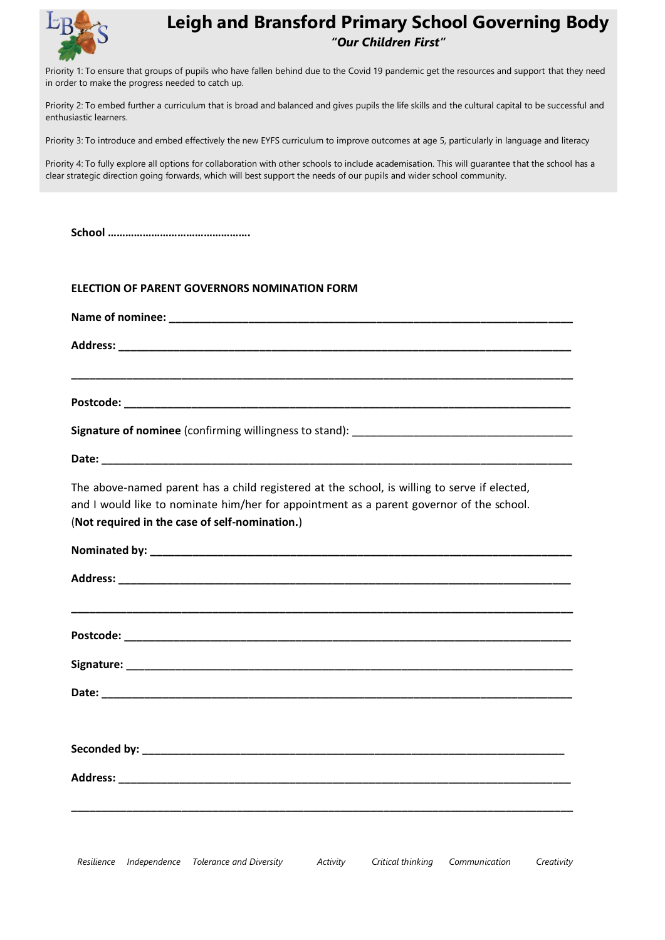

Priority 1: To ensure that groups of pupils who have fallen behind due to the Covid 19 pandemic get the resources and support that they need in order to make the progress needed to catch up.

Priority 2: To embed further a curriculum that is broad and balanced and gives pupils the life skills and the cultural capital to be successful and enthusiastic learners.

Priority 3: To introduce and embed effectively the new EYFS curriculum to improve outcomes at age 5, particularly in language and literacy

Priority 4: To fully explore all options for collaboration with other schools to include academisation. This will guarantee that the school has a clear strategic direction going forwards, which will best support the needs of our pupils and wider school community.

**School ………………………………………….**

### **ELECTION OF PARENT GOVERNORS NOMINATION FORM**

**Name of nominee: \_\_\_\_\_\_\_\_\_\_\_\_\_\_\_\_\_\_\_\_\_\_\_\_\_\_\_\_\_\_\_\_\_\_\_\_\_\_\_\_\_\_\_\_\_\_\_\_\_\_\_\_\_\_\_\_\_\_\_\_\_\_\_\_\_\_**

**Address: \_\_\_\_\_\_\_\_\_\_\_\_\_\_\_\_\_\_\_\_\_\_\_\_\_\_\_\_\_\_\_\_\_\_\_\_\_\_\_\_\_\_\_\_\_\_\_\_\_\_\_\_\_\_\_\_\_\_\_\_\_\_\_\_\_\_\_\_\_\_\_\_\_\_**

**Postcode: \_\_\_\_\_\_\_\_\_\_\_\_\_\_\_\_\_\_\_\_\_\_\_\_\_\_\_\_\_\_\_\_\_\_\_\_\_\_\_\_\_\_\_\_\_\_\_\_\_\_\_\_\_\_\_\_\_\_\_\_\_\_\_\_\_\_\_\_\_\_\_\_\_**

**\_\_\_\_\_\_\_\_\_\_\_\_\_\_\_\_\_\_\_\_\_\_\_\_\_\_\_\_\_\_\_\_\_\_\_\_\_\_\_\_\_\_\_\_\_\_\_\_\_\_\_\_\_\_\_\_\_\_\_\_\_\_\_\_\_\_\_\_\_\_\_\_\_\_\_\_\_\_\_\_\_\_**

**Signature of nominee** (confirming willingness to stand): \_\_\_\_\_\_\_\_\_\_\_\_\_\_\_\_\_\_\_\_\_\_\_\_\_\_\_\_\_\_\_\_\_\_\_\_

**Date: \_\_\_\_\_\_\_\_\_\_\_\_\_\_\_\_\_\_\_\_\_\_\_\_\_\_\_\_\_\_\_\_\_\_\_\_\_\_\_\_\_\_\_\_\_\_\_\_\_\_\_\_\_\_\_\_\_\_\_\_\_\_\_\_\_\_\_\_\_\_\_\_\_\_\_\_\_**

The above-named parent has a child registered at the school, is willing to serve if elected, and I would like to nominate him/her for appointment as a parent governor of the school. (**Not required in the case of self-nomination.**)